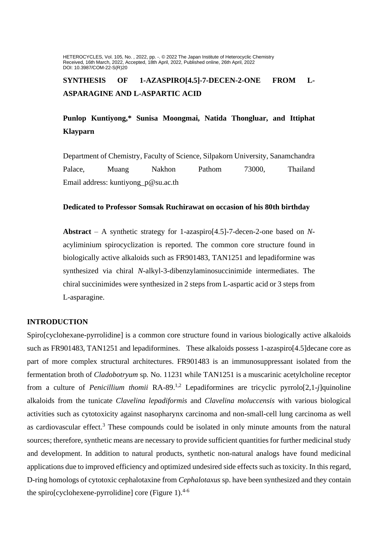HETEROCYCLES, Vol. 105, No. , 2022, pp. -. © 2022 The Japan Institute of Heterocyclic Chemistry Received, 16th March, 2022, Accepted, 18th April, 2022, Published online, 26th April, 2022 DOI: 10.3987/COM-22-S(R)20

# **SYNTHESIS OF 1-AZASPIRO[4.5]-7-DECEN-2-ONE FROM L-ASPARAGINE AND L-ASPARTIC ACID**

## **Punlop Kuntiyong,\* Sunisa Moongmai, Natida Thongluar, and Ittiphat Klayparn**

Department of Chemistry, Faculty of Science, Silpakorn University, Sanamchandra Palace, Muang Nakhon Pathom 73000, Thailand Email address: kuntiyong\_p@su.ac.th

### **Dedicated to Professor Somsak Ruchirawat on occasion of his 80th birthday**

**Abstract** – A synthetic strategy for 1-azaspiro[4.5]-7-decen-2-one based on *N*acyliminium spirocyclization is reported. The common core structure found in biologically active alkaloids such as FR901483, TAN1251 and lepadiformine was synthesized via chiral *N*-alkyl-3-dibenzylaminosuccinimide intermediates. The chiral succinimides were synthesized in 2 steps from L-aspartic acid or 3 steps from L-asparagine.

## **INTRODUCTION**

Spiro[cyclohexane-pyrrolidine] is a common core structure found in various biologically active alkaloids such as FR901483, TAN1251 and lepadiformines. These alkaloids possess 1-azaspiro[4.5]decane core as part of more complex structural architectures. FR901483 is an immunosuppressant isolated from the fermentation broth of *Cladobotryum* sp*.* No. 11231 while TAN1251 is a muscarinic acetylcholine receptor from a culture of *Penicillium thomii* RA-89.1,2 Lepadiformines are tricyclic pyrrolo[2,1-*j*]quinoline alkaloids from the tunicate *Clavelina lepadiformis* and *Clavelina moluccensis* with various biological activities such as cytotoxicity against nasopharynx carcinoma and non-small-cell lung carcinoma as well as cardiovascular effect.<sup>3</sup> These compounds could be isolated in only minute amounts from the natural sources; therefore, synthetic means are necessary to provide sufficient quantities for further medicinal study and development. In addition to natural products, synthetic non-natural analogs have found medicinal applications due to improved efficiency and optimized undesired side effects such as toxicity. In this regard, D-ring homologs of cytotoxic cephalotaxine from *Cephalotaxus* sp. have been synthesized and they contain the spiro[cyclohexene-pyrrolidine] core (Figure 1). $4-6$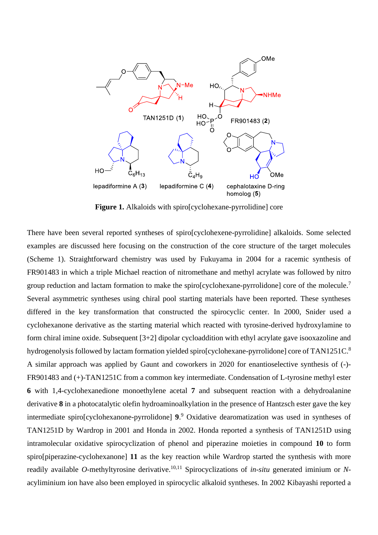

**Figure 1.** Alkaloids with spiro[cyclohexane-pyrrolidine] core

There have been several reported syntheses of spiro[cyclohexene-pyrrolidine] alkaloids. Some selected examples are discussed here focusing on the construction of the core structure of the target molecules (Scheme 1). Straightforward chemistry was used by Fukuyama in 2004 for a racemic synthesis of FR901483 in which a triple Michael reaction of nitromethane and methyl acrylate was followed by nitro group reduction and lactam formation to make the spiro[cyclohexane-pyrrolidone] core of the molecule.<sup>7</sup> Several asymmetric syntheses using chiral pool starting materials have been reported. These syntheses differed in the key transformation that constructed the spirocyclic center. In 2000, Snider used a cyclohexanone derivative as the starting material which reacted with tyrosine-derived hydroxylamine to form chiral imine oxide. Subsequent [3+2] dipolar cycloaddition with ethyl acrylate gave isooxazoline and hydrogenolysis followed by lactam formation yielded spiro[cyclohexane-pyrrolidone] core of TAN1251C.<sup>8</sup> A similar approach was applied by Gaunt and coworkers in 2020 for enantioselective synthesis of (-)- FR901483 and (+)-TAN1251C from a common key intermediate. Condensation of L-tyrosine methyl ester **6** with 1,4-cyclohexanedione monoethylene acetal **7** and subsequent reaction with a dehydroalanine derivative **8** in a photocatalytic olefin hydroaminoalkylation in the presence of Hantzsch ester gave the key intermediate spiro[cyclohexanone-pyrrolidone] **9**. <sup>9</sup> Oxidative dearomatization was used in syntheses of TAN1251D by Wardrop in 2001 and Honda in 2002. Honda reported a synthesis of TAN1251D using intramolecular oxidative spirocyclization of phenol and piperazine moieties in compound **10** to form spiro[piperazine-cyclohexanone] **11** as the key reaction while Wardrop started the synthesis with more readily available *O*-methyltyrosine derivative. 10,11 Spirocyclizations of *in-situ* generated iminium or *N*acyliminium ion have also been employed in spirocyclic alkaloid syntheses. In 2002 Kibayashi reported a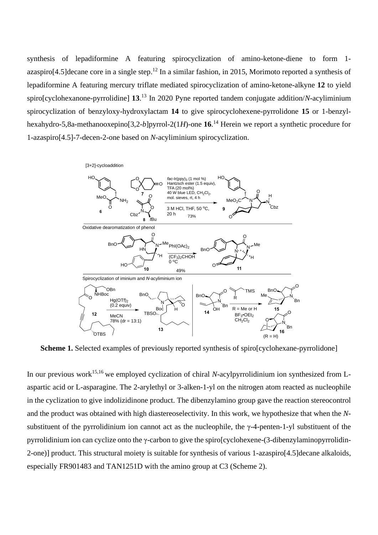synthesis of lepadiformine A featuring spirocyclization of amino-ketone-diene to form 1  $a$ zaspiro[4.5]decane core in a single step.<sup>12</sup> In a similar fashion, in 2015, Morimoto reported a synthesis of lepadiformine A featuring mercury triflate mediated spirocyclization of amino-ketone-alkyne **12** to yield spiro[cyclohexanone-pyrrolidine] **13**. <sup>13</sup> In 2020 Pyne reported tandem conjugate addition/*N*-acyliminium spirocyclization of benzyloxy-hydroxylactam **14** to give spirocyclohexene-pyrrolidone **15** or 1-benzylhexahydro-5,8a-methanooxepino[3,2-*b*]pyrrol-2(1*H*)-one **16**. <sup>14</sup> Herein we report a synthetic procedure for 1-azaspiro[4.5]-7-decen-2-one based on *N*-acyliminium spirocyclization.



**Scheme 1.** Selected examples of previously reported synthesis of spiro[cyclohexane-pyrrolidone]

In our previous work<sup>15,16</sup> we employed cyclization of chiral *N*-acylpyrrolidinium ion synthesized from Laspartic acid or L-asparagine. The 2-arylethyl or 3-alken-1-yl on the nitrogen atom reacted as nucleophile in the cyclization to give indolizidinone product. The dibenzylamino group gave the reaction stereocontrol and the product was obtained with high diastereoselectivity. In this work, we hypothesize that when the *N*substituent of the pyrrolidinium ion cannot act as the nucleophile, the γ-4-penten-1-yl substituent of the pyrrolidinium ion can cyclize onto the γ-carbon to give the spiro[cyclohexene-(3-dibenzylaminopyrrolidin-2-one)] product. This structural moiety is suitable for synthesis of various 1-azaspiro[4.5]decane alkaloids, especially FR901483 and TAN1251D with the amino group at C3 (Scheme 2).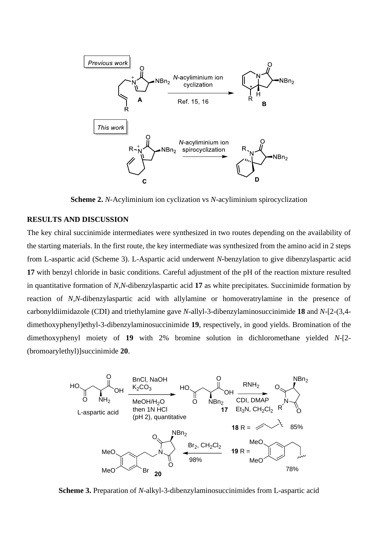

**Scheme 2.** *N*-Acyliminium ion cyclization vs *N*-acyliminium spirocyclization

## **RESULTS AND DISCUSSION**

The key chiral succinimide intermediates were synthesized in two routes depending on the availability of the starting materials. In the first route, the key intermediate was synthesized from the amino acid in 2 steps from L-aspartic acid (Scheme 3). L-Aspartic acid underwent *N*-benzylation to give dibenzylaspartic acid **17** with benzyl chloride in basic conditions. Careful adjustment of the pH of the reaction mixture resulted in quantitative formation of *N,N*-dibenzylaspartic acid **17** as white precipitates. Succinimide formation by reaction of *N,N*-dibenzylaspartic acid with allylamine or homoveratrylamine in the presence of carbonyldiimidazole (CDI) and triethylamine gave *N*-allyl-3-dibenzylaminosuccinimide **18** and *N*-[2-(3,4 dimethoxyphenyl)ethyl-3-dibenzylaminosuccinimide **19**, respectively, in good yields. Bromination of the dimethoxyphenyl moiety of **19** with 2% bromine solution in dichloromethane yielded *N*-[2- (bromoarylethyl)]succinimide **20**.



**Scheme 3.** Preparation of *N*-alkyl-3-dibenzylaminosuccinimides from L-aspartic acid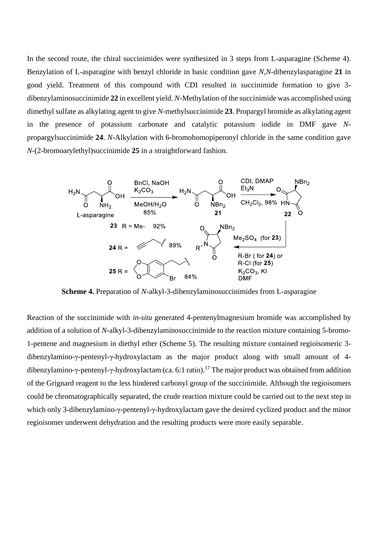In the second route, the chiral succinimides were synthesized in 3 steps from L-asparagine (Scheme 4). Benzylation of L-asparagine with benzyl chloride in basic condition gave *N,N*-dibenzylasparagine **21** in good yield. Treatment of this compound with CDI resulted in succinimide formation to give 3 dibenzylaminosuccinimide **22** in excellent yield. *N*-Methylation of the succinimide was accomplished using dimethyl sulfate as alkylating agent to give *N*-methylsuccinimide **23**. Propargyl bromide as alkylating agent in the presence of potassium carbonate and catalytic potassium iodide in DMF gave *N*propargylsuccinimide **24**. *N*-Alkylation with 6-bromohomopiperonyl chloride in the same condition gave *N*-(2-bromoarylethyl)succinimide **25** in a straightforward fashion.



**Scheme 4.** Preparation of *N*-alkyl-3-dibenzylaminosuccinimides from L-asparagine

Reaction of the succinimide with *in-situ* generated 4-pentenylmagnesium bromide was accomplished by addition of a solution of *N*-alkyl-3-dibenzylaminosuccinimide to the reaction mixture containing 5-bromo-1-pentene and magnesium in diethyl ether (Scheme 5). The resulting mixture contained regioisomeric 3 dibenzylamino-γ-pentenyl-γ-hydroxylactam as the major product along with small amount of 4 dibenzylamino-γ-pentenyl-γ-hydroxylactam (ca. 6:1 ratio). <sup>17</sup> The major product was obtained from addition of the Grignard reagent to the less hindered carbonyl group of the succinimide. Although the regioisomers could be chromatographically separated, the crude reaction mixture could be carried out to the next step in which only 3-dibenzylamino-γ-pentenyl-γ-hydroxylactam gave the desired cyclized product and the minor regioisomer underwent dehydration and the resulting products were more easily separable.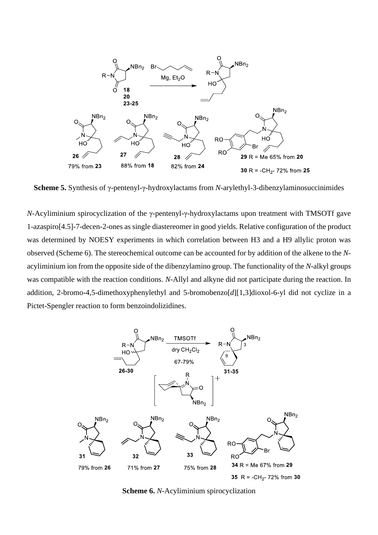

**Scheme 5.** Synthesis of γ-pentenyl-γ-hydroxylactams from *N*-arylethyl-3-dibenzylaminosuccinimides

*N*-Acyliminium spirocyclization of the γ-pentenyl-γ-hydroxylactams upon treatment with TMSOTf gave 1-azaspiro[4.5]-7-decen-2-ones as single diastereomer in good yields. Relative configuration of the product was determined by NOESY experiments in which correlation between H3 and a H9 allylic proton was observed (Scheme 6). The stereochemical outcome can be accounted for by addition of the alkene to the *N*acyliminium ion from the opposite side of the dibenzylamino group. The functionality of the *N*-alkyl groups was compatible with the reaction conditions. *N*-Allyl and alkyne did not participate during the reaction. In addition, 2-bromo-4,5-dimethoxyphenylethyl and 5-bromobenzo[*d*][1,3]dioxol-6-yl did not cyclize in a Pictet-Spengler reaction to form benzoindolizidines.



**Scheme 6.** *N*-Acyliminium spirocyclization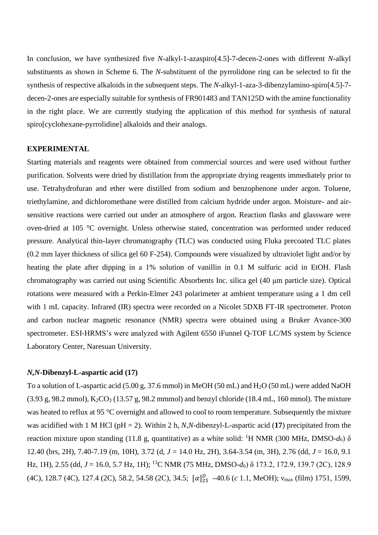In conclusion, we have synthesized five *N*-alkyl-1-azaspiro[4.5]-7-decen-2-ones with different *N*-alkyl substituents as shown in Scheme 6. The *N*-substituent of the pyrrolidone ring can be selected to fit the synthesis of respective alkaloids in the subsequent steps. The *N*-alkyl-1-aza-3-dibenzylamino-spiro[4.5]-7 decen-2-ones are especially suitable for synthesis of FR901483 and TAN125D with the amine functionality in the right place. We are currently studying the application of this method for synthesis of natural spiro[cyclohexane-pyrrolidine] alkaloids and their analogs.

#### **EXPERIMENTAL**

Starting materials and reagents were obtained from commercial sources and were used without further purification. Solvents were dried by distillation from the appropriate drying reagents immediately prior to use. Tetrahydrofuran and ether were distilled from sodium and benzophenone under argon. Toluene, triethylamine, and dichloromethane were distilled from calcium hydride under argon. Moisture- and airsensitive reactions were carried out under an atmosphere of argon. Reaction flasks and glassware were oven-dried at 105 °C overnight. Unless otherwise stated, concentration was performed under reduced pressure. Analytical thin-layer chromatography (TLC) was conducted using Fluka precoated TLC plates (0.2 mm layer thickness of silica gel 60 F-254). Compounds were visualized by ultraviolet light and/or by heating the plate after dipping in a 1% solution of vanillin in 0.1 M sulfuric acid in EtOH. Flash chromatography was carried out using Scientific Absorbents Inc. silica gel (40 μm particle size). Optical rotations were measured with a Perkin-Elmer 243 polarimeter at ambient temperature using a 1 dm cell with 1 mL capacity. Infrared (IR) spectra were recorded on a Nicolet 5DXB FT-IR spectrometer. Proton and carbon nuclear magnetic resonance (NMR) spectra were obtained using a Bruker Avance-300 spectrometer. ESI-HRMS's were analyzed with Agilent 6550 iFunnel Q-TOF LC/MS system by Science Laboratory Center, Naresuan University.

#### *N,N***-Dibenzyl-L-aspartic acid (17)**

To a solution of L-aspartic acid (5.00 g, 37.6 mmol) in MeOH (50 mL) and H<sub>2</sub>O (50 mL) were added NaOH  $(3.93 \text{ g}, 98.2 \text{ mmol})$ , K<sub>2</sub>CO<sub>3</sub> (13.57 g, 98.2 mmmol) and benzyl chloride (18.4 mL, 160 mmol). The mixture was heated to reflux at 95 °C overnight and allowed to cool to room temperature. Subsequently the mixture was acidified with 1 M HCl (pH = 2). Within 2 h, *N,N*-dibenzyl-L-aspartic acid (**17**) precipitated from the reaction mixture upon standing (11.8 g, quantitative) as a white solid: <sup>1</sup>H NMR (300 MHz, DMSO-d<sub>6</sub>) δ 12.40 (brs, 2H), 7.40-7.19 (m, 10H), 3.72 (d, *J* = 14.0 Hz, 2H), 3.64-3.54 (m, 3H), 2.76 (dd, *J* = 16.0, 9.1 Hz, 1H), 2.55 (dd, *J* = 16.0, 5.7 Hz, 1H); <sup>13</sup>C NMR (75 MHz, DMSO-*d*6) δ 173.2, 172.9, 139.7 (2C), 128.9 (4C), 128.7 (4C), 127.4 (2C), 58.2, 54.58 (2C), 34.5;  $\lbrack \alpha \rbrack_{25}^{D}$  -40.6 (*c* 1.1, MeOH); ν<sub>max</sub> (film) 1751, 1599,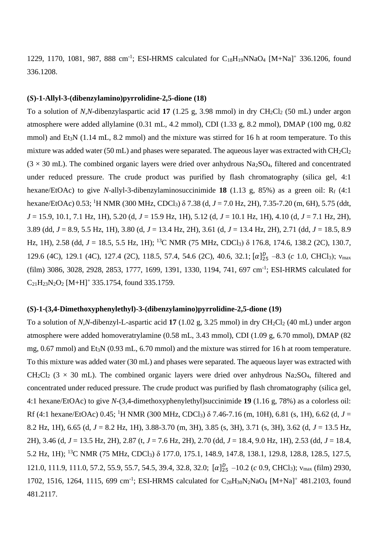1229, 1170, 1081, 987, 888 cm<sup>-1</sup>; ESI-HRMS calculated for C<sub>18</sub>H<sub>19</sub>NNaO<sub>4</sub> [M+Na]<sup>+</sup> 336.1206, found 336.1208.

#### **(***S***)-1-Allyl-3-(dibenzylamino)pyrrolidine-2,5-dione (18)**

To a solution of *N,N*-dibenzylaspartic acid 17 (1.25 g, 3.98 mmol) in dry CH<sub>2</sub>Cl<sub>2</sub> (50 mL) under argon atmosphere were added allylamine (0.31 mL, 4.2 mmol), CDI (1.33 g, 8.2 mmol), DMAP (100 mg, 0.82 mmol) and Et<sub>3</sub>N (1.14 mL, 8.2 mmol) and the mixture was stirred for 16 h at room temperature. To this mixture was added water (50 mL) and phases were separated. The aqueous layer was extracted with  $CH_2Cl_2$  $(3 \times 30 \text{ mL})$ . The combined organic layers were dried over anhydrous Na<sub>2</sub>SO<sub>4</sub>, filtered and concentrated under reduced pressure. The crude product was purified by flash chromatography (silica gel, 4:1 hexane/EtOAc) to give *N*-allyl-3-dibenzylaminosuccinimide 18 (1.13 g, 85%) as a green oil: R<sub>f</sub> (4:1) hexane/EtOAc) 0.53; <sup>1</sup>H NMR (300 MHz, CDCl3) δ 7.38 (d, *J* = 7.0 Hz, 2H), 7.35-7.20 (m, 6H), 5.75 (ddt, *J* = 15.9, 10.1, 7.1 Hz, 1H), 5.20 (d, *J* = 15.9 Hz, 1H), 5.12 (d, *J* = 10.1 Hz, 1H), 4.10 (d, *J* = 7.1 Hz, 2H), 3.89 (dd, *J* = 8.9, 5.5 Hz, 1H), 3.80 (d, *J* = 13.4 Hz, 2H), 3.61 (d, *J* = 13.4 Hz, 2H), 2.71 (dd, *J* = 18.5, 8.9 Hz, 1H), 2.58 (dd, *J* = 18.5, 5.5 Hz, 1H); <sup>13</sup>C NMR (75 MHz, CDCl3) δ 176.8, 174.6, 138.2 (2C), 130.7, 129.6 (4C), 129.1 (4C), 127.4 (2C), 118.5, 57.4, 54.6 (2C), 40.6, 32.1; [α]<sup>D</sup><sub>25</sub> -8.3 (*c* 1.0, CHCl<sub>3</sub>); ν<sub>max</sub> (film) 3086, 3028, 2928, 2853, 1777, 1699, 1391, 1330, 1194, 741, 697 cm<sup>-1</sup>; ESI-HRMS calculated for  $C_{21}H_{23}N_{2}O_{2}$  [M+H]<sup>+</sup> 335.1754, found 335.1759.

#### **(***S***)-1-(3,4-Dimethoxyphenylethyl)-3-(dibenzylamino)pyrrolidine-2,5-dione (19)**

To a solution of *N,N*-dibenzyl-L-aspartic acid 17 (1.02 g, 3.25 mmol) in dry CH<sub>2</sub>Cl<sub>2</sub> (40 mL) under argon atmosphere were added homoveratrylamine (0.58 mL, 3.43 mmol), CDI (1.09 g, 6.70 mmol), DMAP (82 mg, 0.67 mmol) and Et3N (0.93 mL, 6.70 mmol) and the mixture was stirred for 16 h at room temperature. To this mixture was added water (30 mL) and phases were separated. The aqueous layer was extracted with  $CH_2Cl_2$  (3 × 30 mL). The combined organic layers were dried over anhydrous Na<sub>2</sub>SO<sub>4</sub>, filtered and concentrated under reduced pressure. The crude product was purified by flash chromatography (silica gel, 4:1 hexane/EtOAc) to give *N*-(3,4-dimethoxyphenylethyl)succinimide **19** (1.16 g, 78%) as a colorless oil: Rf (4:1 hexane/EtOAc) 0.45; <sup>1</sup>H NMR (300 MHz, CDCl<sub>3</sub>)  $\delta$  7.46-7.16 (m, 10H), 6.81 (s, 1H), 6.62 (d, *J* = 8.2 Hz, 1H), 6.65 (d, *J* = 8.2 Hz, 1H), 3.88-3.70 (m, 3H), 3.85 (s, 3H), 3.71 (s, 3H), 3.62 (d, *J* = 13.5 Hz, 2H), 3.46 (d, *J* = 13.5 Hz, 2H), 2.87 (t, *J* = 7.6 Hz, 2H), 2.70 (dd, *J* = 18.4, 9.0 Hz, 1H), 2.53 (dd, *J* = 18.4, 5.2 Hz, 1H); <sup>13</sup>C NMR (75 MHz, CDCl3) δ 177.0, 175.1, 148.9, 147.8, 138.1, 129.8, 128.8, 128.5, 127.5, 121.0, 111.9, 111.0, 57.2, 55.9, 55.7, 54.5, 39.4, 32.8, 32.0;  $[\alpha]_{25}^{D}$  -10.2 (*c* 0.9, CHCl<sub>3</sub>); v<sub>max</sub> (film) 2930, 1702, 1516, 1264, 1115, 699 cm<sup>-1</sup>; ESI-HRMS calculated for C<sub>28</sub>H<sub>30</sub>N<sub>2</sub>NaO<sub>4</sub> [M+Na]<sup>+</sup> 481.2103, found 481.2117.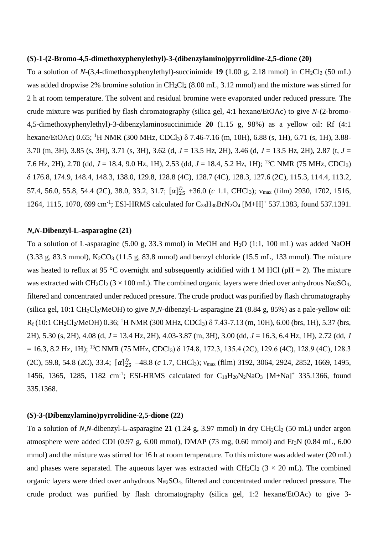#### **(***S***)-1-(2-Bromo-4,5-dimethoxyphenylethyl)-3-(dibenzylamino)pyrrolidine-2,5-dione (20)**

To a solution of *N*-(3,4-dimethoxyphenylethyl)-succinimide **19** (1.00 g, 2.18 mmol) in CH<sub>2</sub>Cl<sub>2</sub> (50 mL) was added dropwise 2% bromine solution in CH<sub>2</sub>Cl<sub>2</sub> (8.00 mL, 3.12 mmol) and the mixture was stirred for 2 h at room temperature. The solvent and residual bromine were evaporated under reduced pressure. The crude mixture was purified by flash chromatography (silica gel, 4:1 hexane/EtOAc) to give *N*-(2-bromo-4,5-dimethoxyphenylethyl)-3-dibenzylaminosuccinimide **20** (1.15 g, 98%) as a yellow oil: Rf (4:1 hexane/EtOAc) 0.65; <sup>1</sup>H NMR (300 MHz, CDCl<sub>3</sub>) δ 7.46-7.16 (m, 10H), 6.88 (s, 1H), 6.71 (s, 1H), 3.88-3.70 (m, 3H), 3.85 (s, 3H), 3.71 (s, 3H), 3.62 (d, *J* = 13.5 Hz, 2H), 3.46 (d, *J* = 13.5 Hz, 2H), 2.87 (t, *J* = 7.6 Hz, 2H), 2.70 (dd, *J* = 18.4, 9.0 Hz, 1H), 2.53 (dd, *J* = 18.4, 5.2 Hz, 1H); <sup>13</sup>C NMR (75 MHz, CDCl3) δ 176.8, 174.9, 148.4, 148.3, 138.0, 129.8, 128.8 (4C), 128.7 (4C), 128.3, 127.6 (2C), 115.3, 114.4, 113.2, 57.4, 56.0, 55.8, 54.4 (2C), 38.0, 33.2, 31.7;  $[\alpha]_{25}^D$  +36.0 (*c* 1.1, CHCl<sub>3</sub>); v<sub>max</sub> (film) 2930, 1702, 1516, 1264, 1115, 1070, 699 cm<sup>-1</sup>; ESI-HRMS calculated for C<sub>28</sub>H<sub>30</sub>BrN<sub>2</sub>O<sub>4</sub> [M+H]<sup>+</sup> 537.1383, found 537.1391.

#### *N,N***-Dibenzyl-L-asparagine (21)**

To a solution of L-asparagine (5.00 g, 33.3 mmol) in MeOH and H2O (1:1, 100 mL) was added NaOH  $(3.33 \text{ g}, 83.3 \text{ mmol})$ ,  $K_2CO_3 (11.5 \text{ g}, 83.8 \text{ mmol})$  and benzyl chloride (15.5 mL, 133 mmol). The mixture was heated to reflux at 95 °C overnight and subsequently acidified with 1 M HCl ( $pH = 2$ ). The mixture was extracted with CH<sub>2</sub>Cl<sub>2</sub> ( $3 \times 100$  mL). The combined organic layers were dried over anhydrous Na<sub>2</sub>SO<sub>4</sub>, filtered and concentrated under reduced pressure. The crude product was purified by flash chromatography (silica gel,  $10:1 \text{ CH}_2\text{Cl}_2/\text{MeOH}$ ) to give *N,N*-dibenzyl-L-asparagine 21 (8.84 g, 85%) as a pale-yellow oil:  $R_f (10:1 \text{ CH}_2\text{Cl}_2/\text{MeOH}) 0.36$ ; <sup>1</sup>H NMR (300 MHz, CDCl<sub>3</sub>)  $\delta$  7.43-7.13 (m, 10H), 6.00 (brs, 1H), 5.37 (brs, 2H), 5.30 (s, 2H), 4.08 (d, *J* = 13.4 Hz, 2H), 4.03-3.87 (m, 3H), 3.00 (dd, *J* = 16.3, 6.4 Hz, 1H), 2.72 (dd, *J*  $= 16.3$ , 8.2 Hz, 1H); <sup>13</sup>C NMR (75 MHz, CDCl<sub>3</sub>)  $\delta$  174.8, 172.3, 135.4 (2C), 129.6 (4C), 128.9 (4C), 128.3  $(2C)$ , 59.8, 54.8  $(2C)$ , 33.4;  $[\alpha]_{25}^D$  -48.8  $(c \ 1.7, \text{CHCl}_3)$ ;  $v_{\text{max}}$  (film) 3192, 3064, 2924, 2852, 1669, 1495, 1456, 1365, 1285, 1182 cm<sup>-1</sup>; ESI-HRMS calculated for C<sub>18</sub>H<sub>20</sub>N<sub>2</sub>NaO<sub>3</sub> [M+Na]<sup>+</sup> 335.1366, found 335.1368.

#### **(***S***)-3-(Dibenzylamino)pyrrolidine-2,5-dione (22)**

To a solution of *N,N*-dibenzyl-L-asparagine 21 (1.24 g, 3.97 mmol) in dry  $CH_2Cl_2$  (50 mL) under argon atmosphere were added CDI (0.97 g, 6.00 mmol), DMAP (73 mg, 0.60 mmol) and Et<sub>3</sub>N (0.84 mL, 6.00 mmol) and the mixture was stirred for 16 h at room temperature. To this mixture was added water (20 mL) and phases were separated. The aqueous layer was extracted with  $CH_2Cl_2$  (3 × 20 mL). The combined organic layers were dried over anhydrous Na2SO4, filtered and concentrated under reduced pressure. The crude product was purified by flash chromatography (silica gel, 1:2 hexane/EtOAc) to give 3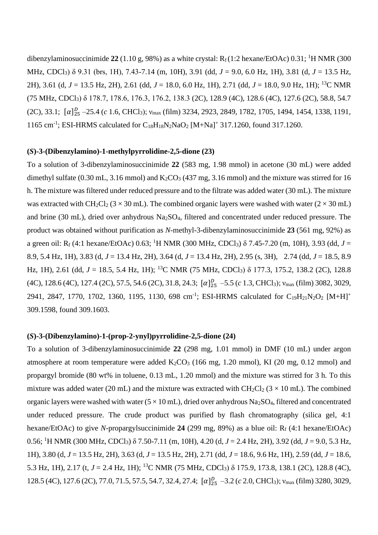dibenzylaminosuccinimide  $22$  (1.10 g, 98%) as a white crystal:  $R_f$  (1:2 hexane/EtOAc) 0.31; <sup>1</sup>H NMR (300 MHz, CDCl3) δ 9.31 (brs, 1H), 7.43-7.14 (m, 10H), 3.91 (dd, *J* = 9.0, 6.0 Hz, 1H), 3.81 (d, *J* = 13.5 Hz, 2H), 3.61 (d, *J* = 13.5 Hz, 2H), 2.61 (dd, *J* = 18.0, 6.0 Hz, 1H), 2.71 (dd, *J* = 18.0, 9.0 Hz, 1H); <sup>13</sup>C NMR (75 MHz, CDCl3) δ 178.7, 178.6, 176.3, 176.2, 138.3 (2C), 128.9 (4C), 128.6 (4C), 127.6 (2C), 58.8, 54.7  $(2C), 33.1; [\alpha]_{25}^D - 25.4 (c 1.6, CHCl_3); v_{max}(film) 3234, 2923, 2849, 1782, 1705, 1494, 1454, 1338, 1191,$ 1165 cm<sup>-1</sup>; ESI-HRMS calculated for C<sub>18</sub>H<sub>18</sub>N<sub>2</sub>NaO<sub>2</sub> [M+Na]<sup>+</sup> 317.1260, found 317.1260.

### **(***S***)-3-(Dibenzylamino)-1-methylpyrrolidine-2,5-dione (23)**

To a solution of 3-dibenzylaminosuccinimide **22** (583 mg, 1.98 mmol) in acetone (30 mL) were added dimethyl sulfate  $(0.30 \text{ mL}, 3.16 \text{ mmol})$  and  $K_2CO_3$  (437 mg, 3.16 mmol) and the mixture was stirred for 16 h. The mixture was filtered under reduced pressure and to the filtrate was added water (30 mL). The mixture was extracted with CH<sub>2</sub>Cl<sub>2</sub> ( $3 \times 30$  mL). The combined organic layers were washed with water ( $2 \times 30$  mL) and brine (30 mL), dried over anhydrous Na2SO4, filtered and concentrated under reduced pressure. The product was obtained without purification as *N*-methyl-3-dibenzylaminosuccinimide **23** (561 mg, 92%) as a green oil: R<sub>f</sub> (4:1 hexane/EtOAc) 0.63; <sup>1</sup>H NMR (300 MHz, CDCl<sub>3</sub>) δ 7.45-7.20 (m, 10H), 3.93 (dd, *J* = 8.9, 5.4 Hz, 1H), 3.83 (d, *J* = 13.4 Hz, 2H), 3.64 (d, *J* = 13.4 Hz, 2H), 2.95 (s, 3H), 2.74 (dd, *J* = 18.5, 8.9 Hz, 1H), 2.61 (dd, *J* = 18.5, 5.4 Hz, 1H); <sup>13</sup>C NMR (75 MHz, CDCl<sub>3</sub>) δ 177.3, 175.2, 138.2 (2C), 128.8  $(4C)$ , 128.6  $(4C)$ , 127.4  $(2C)$ , 57.5, 54.6  $(2C)$ , 31.8, 24.3;  $[\alpha]_{25}^D$  -5.5  $(c$  1.3, CHCl<sub>3</sub>);  $v_{\text{max}}$  (film) 3082, 3029, 2941, 2847, 1770, 1702, 1360, 1195, 1130, 698 cm<sup>-1</sup>; ESI-HRMS calculated for C<sub>19</sub>H<sub>21</sub>N<sub>2</sub>O<sub>2</sub> [M+H]<sup>+</sup> 309.1598, found 309.1603.

#### **(***S***)-3-(Dibenzylamino)-1-(prop-2-ynyl)pyrrolidine-2,5-dione (24)**

To a solution of 3-dibenzylaminosuccinimide **22** (298 mg, 1.01 mmol) in DMF (10 mL) under argon atmosphere at room temperature were added  $K_2CO_3$  (166 mg, 1.20 mmol), KI (20 mg, 0.12 mmol) and propargyl bromide (80 wt% in toluene, 0.13 mL, 1.20 mmol) and the mixture was stirred for 3 h. To this mixture was added water (20 mL) and the mixture was extracted with  $CH_2Cl_2$  (3 × 10 mL). The combined organic layers were washed with water ( $5 \times 10$  mL), dried over anhydrous Na<sub>2</sub>SO<sub>4</sub>, filtered and concentrated under reduced pressure. The crude product was purified by flash chromatography (silica gel, 4:1 hexane/EtOAc) to give *N*-propargylsuccinimide **24** (299 mg, 89%) as a blue oil: R<sup>f</sup> (4:1 hexane/EtOAc) 0.56; <sup>1</sup>H NMR (300 MHz, CDCl3) δ 7.50-7.11 (m, 10H), 4.20 (d, *J* = 2.4 Hz, 2H), 3.92 (dd, *J* = 9.0, 5.3 Hz, 1H), 3.80 (d, *J* = 13.5 Hz, 2H), 3.63 (d, *J* = 13.5 Hz, 2H), 2.71 (dd, *J* = 18.6, 9.6 Hz, 1H), 2.59 (dd, *J* = 18.6, 5.3 Hz, 1H), 2.17 (t, *J* = 2.4 Hz, 1H); <sup>13</sup>C NMR (75 MHz, CDCl3) δ 175.9, 173.8, 138.1 (2C), 128.8 (4C), 128.5 (4C), 127.6 (2C), 77.0, 71.5, 57.5, 54.7, 32.4, 27.4; [α]<sup>*D*</sup><sub>25</sub> -3.2 (*c* 2.0, CHCl<sub>3</sub>); ν<sub>max</sub> (film) 3280, 3029,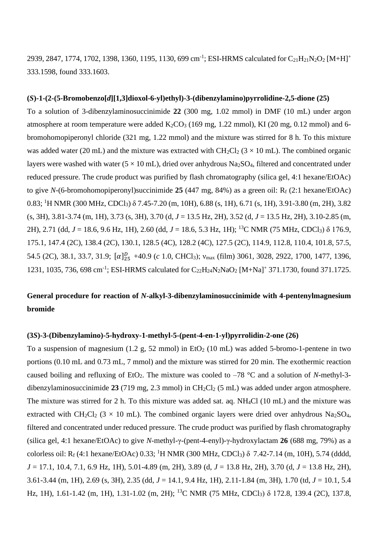2939, 2847, 1774, 1702, 1398, 1360, 1195, 1130, 699 cm<sup>-1</sup>; ESI-HRMS calculated for C<sub>21</sub>H<sub>21</sub>N<sub>2</sub>O<sub>2</sub> [M+H]<sup>+</sup> 333.1598, found 333.1603.

#### **(***S***)-1-(2-(5-Bromobenzo[***d***][1,3]dioxol-6-yl)ethyl)-3-(dibenzylamino)pyrrolidine-2,5-dione (25)**

To a solution of 3-dibenzylaminosuccinimide **22** (300 mg, 1.02 mmol) in DMF (10 mL) under argon atmosphere at room temperature were added  $K_2CO_3$  (169 mg, 1.22 mmol), KI (20 mg, 0.12 mmol) and 6bromohomopiperonyl chloride (321 mg, 1.22 mmol) and the mixture was stirred for 8 h. To this mixture was added water (20 mL) and the mixture was extracted with  $CH_2Cl_2$  (3  $\times$  10 mL). The combined organic layers were washed with water  $(5 \times 10 \text{ mL})$ , dried over anhydrous Na<sub>2</sub>SO<sub>4</sub>, filtered and concentrated under reduced pressure. The crude product was purified by flash chromatography (silica gel, 4:1 hexane/EtOAc) to give  $N$ -(6-bromohomopiperonyl)succinimide **25** (447 mg, 84%) as a green oil:  $R_f$  (2:1 hexane/EtOAc) 0.83; <sup>1</sup>H NMR (300 MHz, CDCl3) δ 7.45-7.20 (m, 10H), 6.88 (s, 1H), 6.71 (s, 1H), 3.91-3.80 (m, 2H), 3.82 (s, 3H), 3.81-3.74 (m, 1H), 3.73 (s, 3H), 3.70 (d, *J* = 13.5 Hz, 2H), 3.52 (d, *J* = 13.5 Hz, 2H), 3.10-2.85 (m, 2H), 2.71 (dd, *J* = 18.6, 9.6 Hz, 1H), 2.60 (dd, *J* = 18.6, 5.3 Hz, 1H); <sup>13</sup>C NMR (75 MHz, CDCl3) δ 176.9, 175.1, 147.4 (2C), 138.4 (2C), 130.1, 128.5 (4C), 128.2 (4C), 127.5 (2C), 114.9, 112.8, 110.4, 101.8, 57.5, 54.5 (2C), 38.1, 33.7, 31.9;  $[\alpha]_{25}^D$  +40.9 (*c* 1.0, CHCl<sub>3</sub>); v<sub>max</sub> (film) 3061, 3028, 2922, 1700, 1477, 1396, 1231, 1035, 736, 698 cm<sup>-1</sup>; ESI-HRMS calculated for C<sub>22</sub>H<sub>24</sub>N<sub>2</sub>NaO<sub>2</sub> [M+Na]<sup>+</sup> 371.1730, found 371.1725.

## **General procedure for reaction of** *N***-alkyl-3-dibenzylaminosuccinimide with 4-pentenylmagnesium bromide**

#### **(3***S***)-3-(Dibenzylamino)-5-hydroxy-1-methyl-5-(pent-4-en-1-yl)pyrrolidin-2-one (26)**

To a suspension of magnesium (1.2 g, 52 mmol) in  $EtO<sub>2</sub>$  (10 mL) was added 5-bromo-1-pentene in two portions (0.10 mL and 0.73 mL, 7 mmol) and the mixture was stirred for 20 min. The exothermic reaction caused boiling and refluxing of  $EtO_2$ . The mixture was cooled to  $-78$  °C and a solution of *N*-methyl-3dibenzylaminosuccinimide 23 (719 mg, 2.3 mmol) in CH<sub>2</sub>Cl<sub>2</sub> (5 mL) was added under argon atmosphere. The mixture was stirred for 2 h. To this mixture was added sat. aq. NH4Cl (10 mL) and the mixture was extracted with CH<sub>2</sub>Cl<sub>2</sub> (3 × 10 mL). The combined organic layers were dried over anhydrous Na<sub>2</sub>SO<sub>4</sub>, filtered and concentrated under reduced pressure. The crude product was purified by flash chromatography (silica gel, 4:1 hexane/EtOAc) to give *N*-methyl-γ-(pent-4-enyl)-γ-hydroxylactam **26** (688 mg, 79%) as a colorless oil:  $R_f$  (4:1 hexane/EtOAc) 0.33; <sup>1</sup>H NMR (300 MHz, CDCl<sub>3</sub>)  $\delta$  7.42-7.14 (m, 10H), 5.74 (dddd, *J* = 17.1, 10.4, 7.1, 6.9 Hz, 1H), 5.01-4.89 (m, 2H), 3.89 (d, *J* = 13.8 Hz, 2H), 3.70 (d, *J* = 13.8 Hz, 2H), 3.61-3.44 (m, 1H), 2.69 (s, 3H), 2.35 (dd, *J* = 14.1, 9.4 Hz, 1H), 2.11-1.84 (m, 3H), 1.70 (td, *J* = 10.1, 5.4 Hz, 1H), 1.61-1.42 (m, 1H), 1.31-1.02 (m, 2H); <sup>13</sup>C NMR (75 MHz, CDCl3) δ 172.8, 139.4 (2C), 137.8,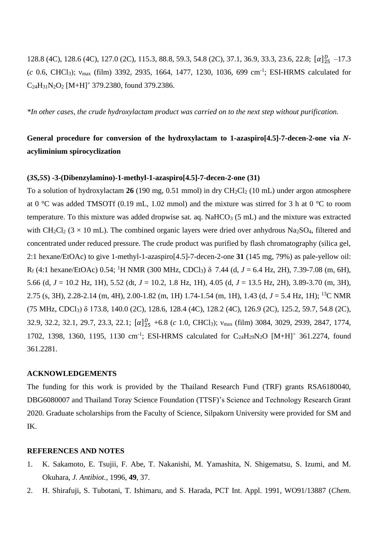128.8 (4C), 128.6 (4C), 127.0 (2C), 115.3, 88.8, 59.3, 54.8 (2C), 37.1, 36.9, 33.3, 23.6, 22.8;  $[\alpha]_{25}^{D}$  -17.3 (*c* 0.6, CHCl3); νmax (film) 3392, 2935, 1664, 1477, 1230, 1036, 699 cm-1 ; ESI-HRMS calculated for  $C_{24}H_{31}N_2O_2$  [M+H]<sup>+</sup> 379.2380, found 379.2386.

*\*In other cases, the crude hydroxylactam product was carried on to the next step without purification.*

## **General procedure for conversion of the hydroxylactam to 1-azaspiro[4.5]-7-decen-2-one via** *N***acyliminium spirocyclization**

### **(***3S,5S***) -3-(Dibenzylamino)-1-methyl-1-azaspiro[4.5]-7-decen-2-one (31)**

To a solution of hydroxylactam 26 (190 mg, 0.51 mmol) in dry CH<sub>2</sub>Cl<sub>2</sub> (10 mL) under argon atmosphere at 0 °C was added TMSOTf (0.19 mL, 1.02 mmol) and the mixture was stirred for 3 h at 0 °C to room temperature. To this mixture was added dropwise sat. aq.  $NaHCO<sub>3</sub>$  (5 mL) and the mixture was extracted with CH<sub>2</sub>Cl<sub>2</sub> ( $3 \times 10$  mL). The combined organic layers were dried over anhydrous Na<sub>2</sub>SO<sub>4</sub>, filtered and concentrated under reduced pressure. The crude product was purified by flash chromatography (silica gel, 2:1 hexane/EtOAc) to give 1-methyl-1-azaspiro[4.5]-7-decen-2-one **31** (145 mg, 79%) as pale-yellow oil: R<sup>f</sup> (4:1 hexane/EtOAc) 0.54; <sup>1</sup>H NMR (300 MHz, CDCl3) δ 7.44 (d, *J* = 6.4 Hz, 2H), 7.39-7.08 (m, 6H), 5.66 (d, *J* = 10.2 Hz, 1H), 5.52 (dt, *J* = 10.2, 1.8 Hz, 1H), 4.05 (d, *J* = 13.5 Hz, 2H), 3.89-3.70 (m, 3H), 2.75 (s, 3H), 2.28-2.14 (m, 4H), 2.00-1.82 (m, 1H) 1.74-1.54 (m, 1H), 1.43 (d, *J* = 5.4 Hz, 1H); <sup>13</sup>C NMR (75 MHz, CDCl3) δ 173.8, 140.0 (2C), 128.6, 128.4 (4C), 128.2 (4C), 126.9 (2C), 125.2, 59.7, 54.8 (2C), 32.9, 32.2, 32.1, 29.7, 23.3, 22.1;  $[\alpha]_{25}^D$  +6.8 (*c* 1.0, CHCl<sub>3</sub>); v<sub>max</sub> (film) 3084, 3029, 2939, 2847, 1774, 1702, 1398, 1360, 1195, 1130 cm<sup>-1</sup>; ESI-HRMS calculated for C<sub>24</sub>H<sub>29</sub>N<sub>2</sub>O [M+H]<sup>+</sup> 361.2274, found 361.2281.

### **ACKNOWLEDGEMENTS**

The funding for this work is provided by the Thailand Research Fund (TRF) grants RSA6180040, DBG6080007 and Thailand Toray Science Foundation (TTSF)'s Science and Technology Research Grant 2020. Graduate scholarships from the Faculty of Science, Silpakorn University were provided for SM and IK.

#### **REFERENCES AND NOTES**

- 1. K. Sakamoto, E. Tsujii, F. Abe, T. Nakanishi, M. Yamashita, N. Shigematsu, S. Izumi, and M. Okuhara, *J. Antibiot.*, 1996, **49**, 37.
- 2. H. Shirafuji, S. Tubotani, T. Ishimaru, and S. Harada, PCT Int. Appl. 1991, WO91/13887 (*Chem.*